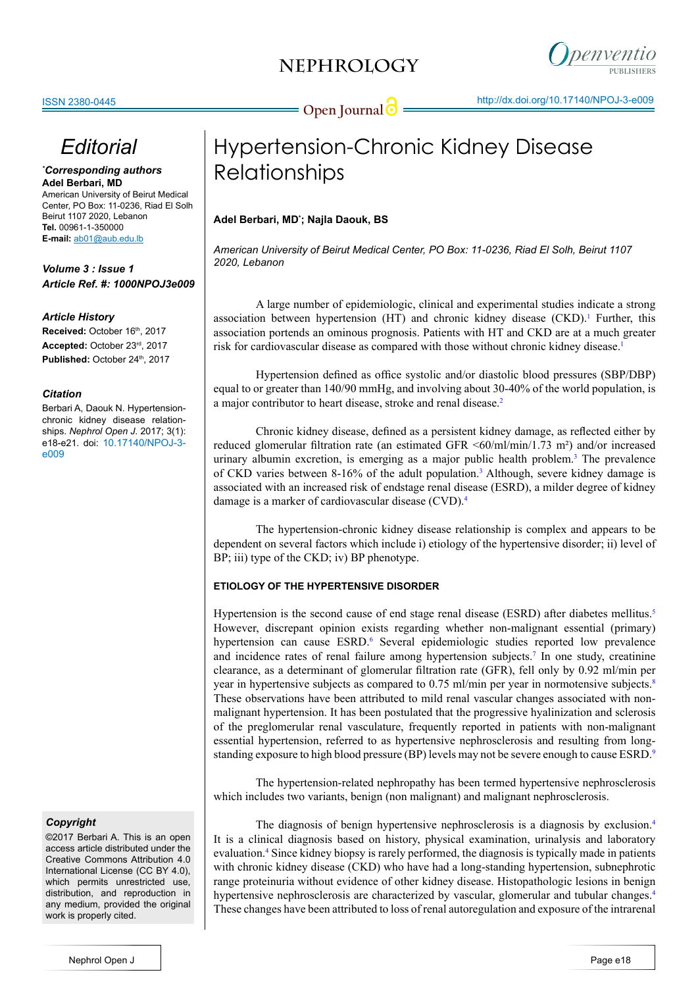

# *Editorial*

### *\* Corresponding authors* **Adel Berbari, MD**

American University of Beirut Medical Center, PO Box: 11-0236, Riad El Solh Beirut 1107 2020, Lebanon **Tel.** 00961-1-350000 **E-mail:** ab01@aub.edu.lb

# *Volume 3 : Issue 1 Article Ref. #: 1000NPOJ3e009*

# *Article History*

Received: October 16<sup>th</sup>, 2017 **Accepted:** October 23rd, 2017 Published: October 24<sup>th</sup>, 2017

## *Citation*

Berbari A, Daouk N. Hypertensionchronic kidney disease relationships. *Nephrol Open J*. 2017; 3(1): e18-e21. doi: 10.17140/NPOJ-3 e009

### *Copyright*

©2017 Berbari A. This is an open access article distributed under the Creative Commons Attribution 4.0 International License (CC BY 4.0), which permits unrestricted use. distribution, and reproduction in any medium, provided the original work is properly cited.

# Hypertension-Chronic Kidney Disease Relationships

# **Adel Berbari, MD\* ; Najla Daouk, BS**

*American University of Beirut Medical Center, PO Box: 11-0236, Riad El Solh, Beirut 1107 2020, Lebanon*

A large number of epidemiologic, clinical and experimental studies indicate a strong association between hypertension (HT) and chronic kidney disease  $(CKD)$ .<sup>[1](#page-2-0)</sup> Further, this association portends an ominous prognosis. Patients with HT and CKD are at a much greater risk for cardiovascular disease as compared with those without chronic kidney disease[.1](#page-2-0)

 Hypertension defined as office systolic and/or diastolic blood pressures (SBP/DBP) equal to or greater than 140/90 mmHg, and involving about 30-40% of the world population, is a major contributor to heart disease, stroke and renal disease.<sup>2</sup>

 Chronic kidney disease, defined as a persistent kidney damage, as reflected either by reduced glomerular filtration rate (an estimated GFR <60/ml/min/1.73 m²) and/or increased urinary albumin excretion, is emerging as a major public health problem. $3$  The prevalence of CKD varies between 8-16% of the adult population.<sup>[3](#page-2-2)</sup> Although, severe kidney damage is associated with an increased risk of endstage renal disease (ESRD), a milder degree of kidney damage is a marker of cardiovascular disease (CVD)[.4](#page-2-3)

 The hypertension-chronic kidney disease relationship is complex and appears to be dependent on several factors which include i) etiology of the hypertensive disorder; ii) level of BP; iii) type of the CKD; iv) BP phenotype.

# **ETIOLOGY OF THE HYPERTENSIVE DISORDER**

Hypertension is the second cause of end stage renal disease (ESRD) after diabetes mellitus.<sup>[5](#page-2-4)</sup> However, discrepant opinion exists regarding whether non-malignant essential (primary) hypertension can cause ESRD.<sup>6</sup> Several epidemiologic studies reported low prevalence and incidence rates of renal failure among hypertension subjects.<sup>[7](#page-2-6)</sup> In one study, creatinine clearance, as a determinant of glomerular filtration rate (GFR), fell only by 0.92 ml/min per year in hypertensive subjects as compared to 0.75 ml/min per year in normotensive subjects.<sup>[8](#page-2-7)</sup> These observations have been attributed to mild renal vascular changes associated with nonmalignant hypertension. It has been postulated that the progressive hyalinization and sclerosis of the preglomerular renal vasculature, frequently reported in patients with non-malignant essential hypertension, referred to as hypertensive nephrosclerosis and resulting from longstanding exposure to high blood pressure (BP) levels may not be severe enough to cause ESRD.<sup>9</sup>

 The hypertension-related nephropathy has been termed hypertensive nephrosclerosis which includes two variants, benign (non malignant) and malignant nephrosclerosis.

The diagnosis of benign hypertensive nephrosclerosis is a diagnosis by exclusion.<sup>4</sup> It is a clinical diagnosis based on history, physical examination, urinalysis and laboratory evaluation[.4](#page-2-3) Since kidney biopsy is rarely performed, the diagnosis is typically made in patients with chronic kidney disease (CKD) who have had a long-standing hypertension, subnephrotic range proteinuria without evidence of other kidney disease. Histopathologic lesions in benign hypertensive nephrosclerosis are characterized by vascular, glomerular and tubular changes[.4](#page-2-3) These changes have been attributed to loss of renal autoregulation and exposure of the intrarenal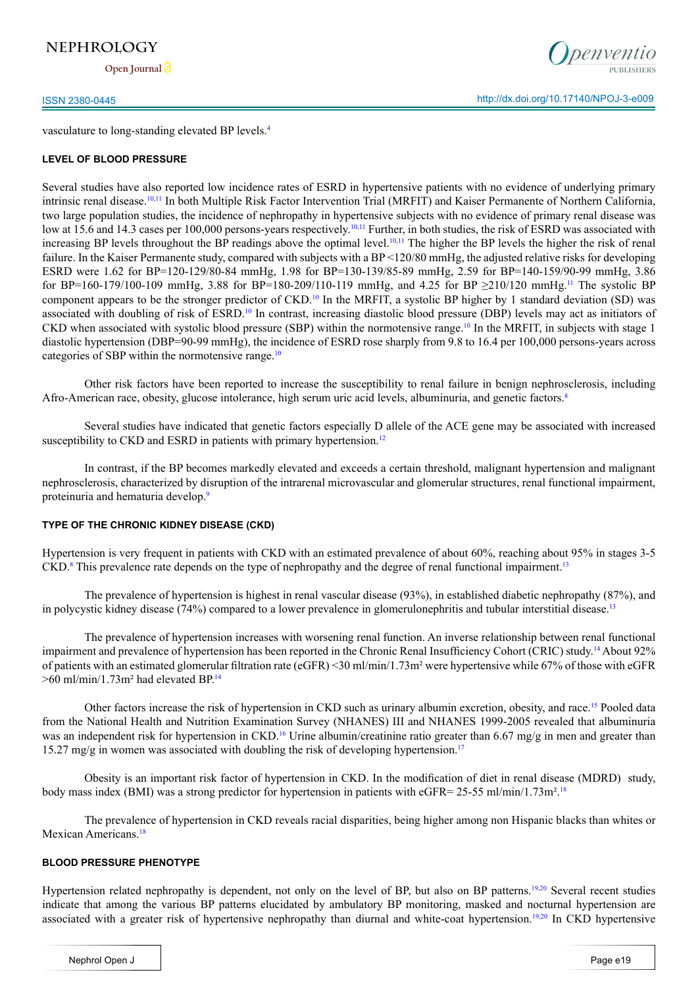# **NEPHROLOGY**

**Open Journal**



vasculature to long-standing elevated BP levels.[4](#page-2-3)

### **LEVEL OF BLOOD PRESSURE**

Several studies have also reported low incidence rates of ESRD in hypertensive patients with no evidence of underlying primary intrinsic renal disease[.10,11](#page-2-9) In both Multiple Risk Factor Intervention Trial (MRFIT) and Kaiser Permanente of Northern California, two large population studies, the incidence of nephropathy in hypertensive subjects with no evidence of primary renal disease was low at 15.6 and 14.3 cases per 100,000 persons-years respectively.<sup>[10,11](#page-2-9)</sup> Further, in both studies, the risk of ESRD was associated with increasing BP levels throughout the BP readings above the optimal level.<sup>[10,11](#page-2-9)</sup> The higher the BP levels the higher the risk of renal failure. In the Kaiser Permanente study, compared with subjects with a BP <120/80 mmHg, the adjusted relative risks for developing ESRD were 1.62 for BP=120-129/80-84 mmHg, 1.98 for BP=130-139/85-89 mmHg, 2.59 for BP=140-159/90-99 mmHg, 3.86 for BP=160-179/100-109 mmHg, 3.88 for BP=180-209/[11](#page-2-10)0-119 mmHg, and 4.25 for BP  $\geq$ 210/120 mmHg.<sup>11</sup> The systolic BP component appears to be the stronger predictor of  $CKD<sup>10</sup>$  In the MRFIT, a systolic BP higher by 1 standard deviation (SD) was associated with doubling of risk of ESRD.[10](#page-2-9) In contrast, increasing diastolic blood pressure (DBP) levels may act as initiators of CKD when associated with systolic blood pressure (SBP) within the normotensive range.[10](#page-2-9) In the MRFIT, in subjects with stage 1 diastolic hypertension (DBP=90-99 mmHg), the incidence of ESRD rose sharply from 9.8 to 16.4 per 100,000 persons-years across categories of SBP within the normotensive range.[10](#page-2-9)

Other risk factors have been reported to increase the susceptibility to renal failure in benign nephrosclerosis, including Afro-American race, obesity, glucose intolerance, high serum uric acid levels, albuminuria, and genetic factors.[8](#page-2-7)

 Several studies have indicated that genetic factors especially D allele of the ACE gene may be associated with increased susceptibility to CKD and ESRD in patients with primary hypertension.<sup>[12](#page-2-11)</sup>

 In contrast, if the BP becomes markedly elevated and exceeds a certain threshold, malignant hypertension and malignant nephrosclerosis, characterized by disruption of the intrarenal microvascular and glomerular structures, renal functional impairment, proteinuria and hematuria develop.[9](#page-2-8)

## **TYPE OF THE CHRONIC KIDNEY DISEASE (CKD)**

Hypertension is very frequent in patients with CKD with an estimated prevalence of about 60%, reaching about 95% in stages 3-5 CKD.<sup>[8](#page-2-7)</sup> This prevalence rate depends on the type of nephropathy and the degree of renal functional impairment.<sup>[13](#page-3-0)</sup>

 The prevalence of hypertension is highest in renal vascular disease (93%), in established diabetic nephropathy (87%), and in polycystic kidney disease (74%) compared to a lower prevalence in glomerulonephritis and tubular interstitial disease.<sup>[13](#page-3-0)</sup>

The prevalence of hypertension increases with worsening renal function. An inverse relationship between renal functional impairment and prevalence of hypertension has been reported in the Chronic Renal Insufficiency Cohort (CRIC) study.[14](#page-3-1) About 92% of patients with an estimated glomerular filtration rate (eGFR) <30 ml/min/1.73m² were hypertensive while 67% of those with eGFR  $>60$  ml/min/1.73m<sup>2</sup> had elevated BP.<sup>[14](#page-3-1)</sup>

Other factors increase the risk of hypertension in CKD such as urinary albumin excretion, obesity, and race.<sup>15</sup> Pooled data from the National Health and Nutrition Examination Survey (NHANES) III and NHANES 1999-2005 revealed that albuminuria was an independent risk for hypertension in CKD.<sup>[16](#page-3-3)</sup> Urine albumin/creatinine ratio greater than 6.67 mg/g in men and greater than 15.27 mg/g in women was associated with doubling the risk of developing hypertension.<sup>17</sup>

 Obesity is an important risk factor of hypertension in CKD. In the modification of diet in renal disease (MDRD) study, body mass index (BMI) was a strong predictor for hypertension in patients with eGFR= 25-55 ml/min/1.73m².[18](#page-3-5)

The prevalence of hypertension in CKD reveals racial disparities, being higher among non Hispanic blacks than whites or Mexican Americans.<sup>[18](#page-3-5)</sup>

### **BLOOD PRESSURE PHENOTYPE**

Hypertension related nephropathy is dependent, not only on the level of BP, but also on BP patterns[.19,20](#page-3-6) Several recent studies indicate that among the various BP patterns elucidated by ambulatory BP monitoring, masked and nocturnal hypertension are associated with a greater risk of hypertensive nephropathy than diurnal and white-coat hypertension.<sup>19,20</sup> In CKD hypertensive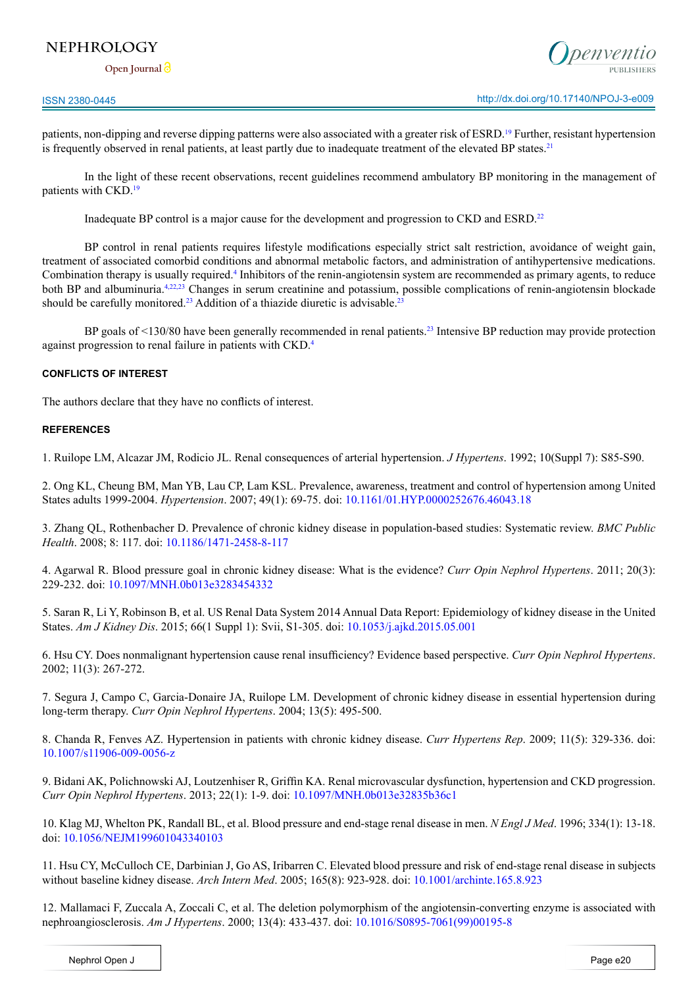# **NEPHROLOGY**

**Open Journal**

patients, non-dipping and reverse dipping patterns were also associated with a greater risk of ESRD.[19](#page-3-6) Further, resistant hypertension is frequently observed in renal patients, at least partly due to inadequate treatment of the elevated BP states.<sup>[21](#page-3-7)</sup>

 In the light of these recent observations, recent guidelines recommend ambulatory BP monitoring in the management of patients with CKD.[19](#page-3-6)

 Inadequate BP control is a major cause for the development and progression to CKD and ESRD.[22](#page-3-8)

 BP control in renal patients requires lifestyle modifications especially strict salt restriction, avoidance of weight gain, treatment of associated comorbid conditions and abnormal metabolic factors, and administration of antihypertensive medications. Combination therapy is usually required[.4](#page-2-3) Inhibitors of the renin-angiotensin system are recommended as primary agents, to reduce both BP and albuminuria.<sup>4,22,23</sup> Changes in serum creatinine and potassium, possible complications of renin-angiotensin blockade should be carefully monitored.<sup>[23](#page-3-9)</sup> Addition of a thiazide diuretic is advisable.<sup>23</sup>

BP goals of <130/80 have been generally recommended in renal patients.<sup>23</sup> Intensive BP reduction may provide protection against progression to renal failure in patients with CKD[.4](#page-2-3)

#### **CONFLICTS OF INTEREST**

The authors declare that they have no conflicts of interest.

#### **REFERENCES**

<span id="page-2-0"></span>1. Ruilope LM, Alcazar JM, Rodicio JL. Renal consequences of arterial hypertension. *J Hypertens*. 1992; 10(Suppl 7): S85-S90.

<span id="page-2-1"></span>2. Ong KL, Cheung BM, Man YB, Lau CP, Lam KSL. Prevalence, awareness, treatment and control of hypertension among United States adults 1999-2004. *Hypertension*. 2007; 49(1): 69-75. doi: [10.1161/01.HYP.0000252676.46043.18](https://doi.org/10.1161/01.HYP.0000252676.46043.18)

<span id="page-2-2"></span>3. Zhang QL, Rothenbacher D. Prevalence of chronic kidney disease in population-based studies: Systematic review. *BMC Public Health*. 2008; 8: 117. doi: [10.1186/1471-2458-8-117](https://doi.org/10.1186/1471-2458-8-117)

<span id="page-2-3"></span>4. Agarwal R. Blood pressure goal in chronic kidney disease: What is the evidence? *Curr Opin Nephrol Hypertens*. 2011; 20(3): 229-232. doi: [10.1097/MNH.0b013e3283454332](http://dx.doi.org/10.1097/MNH.0b013e3283454332)

<span id="page-2-4"></span>5. Saran R, Li Y, Robinson B, et al. US Renal Data System 2014 Annual Data Report: Epidemiology of kidney disease in the United States. *Am J Kidney Dis*. 2015; 66(1 Suppl 1): Svii, S1-305. doi: [10.1053/j.ajkd.2015.05.001](http://dx.doi.org/10.1053/j.ajkd.2015.05.001)

<span id="page-2-5"></span>6. Hsu CY. Does nonmalignant hypertension cause renal insufficiency? Evidence based perspective. *Curr Opin Nephrol Hypertens*. 2002; 11(3): 267-272.

<span id="page-2-6"></span>7. Segura J, Campo C, Garcia-Donaire JA, Ruilope LM. Development of chronic kidney disease in essential hypertension during long-term therapy. *Curr Opin Nephrol Hypertens*. 2004; 13(5): 495-500.

<span id="page-2-7"></span>8. Chanda R, Fenves AZ. Hypertension in patients with chronic kidney disease. *Curr Hypertens Rep*. 2009; 11(5): 329-336. doi: [10.1007/s11906-009-0056-z](https://doi.org/10.1007/s11906-009-0056-z)

<span id="page-2-8"></span>9. Bidani AK, Polichnowski AJ, Loutzenhiser R, Griffin KA. Renal microvascular dysfunction, hypertension and CKD progression. *Curr Opin Nephrol Hypertens*. 2013; 22(1): 1-9. doi: [10.1097/MNH.0b013e32835b36c1](http://dx.doi.org/10.1097/MNH.0b013e32835b36c1)

<span id="page-2-9"></span>10. Klag MJ, Whelton PK, Randall BL, et al. Blood pressure and end-stage renal disease in men. *N Engl J Med*. 1996; 334(1): 13-18. doi: [10.1056/NEJM199601043340103](http://dx.doi.org/10.1056/NEJM199601043340103)

<span id="page-2-10"></span>11. Hsu CY, McCulloch CE, Darbinian J, Go AS, Iribarren C. Elevated blood pressure and risk of end-stage renal disease in subjects without baseline kidney disease. *Arch Intern Med*. 2005; 165(8): 923-928. doi: [10.1001/archinte.165.8.923](https://jamanetwork.com/journals/jamainternalmedicine/fullarticle/486523)

<span id="page-2-11"></span>12. Mallamaci F, Zuccala A, Zoccali C, et al. The deletion polymorphism of the angiotensin-converting enzyme is associated with nephroangiosclerosis. *Am J Hypertens*. 2000; 13(4): 433-437. doi: [10.1016/S0895-7061\(99\)00195-8](https://doi.org/10.1016/S0895-7061%2899%2900195-8)